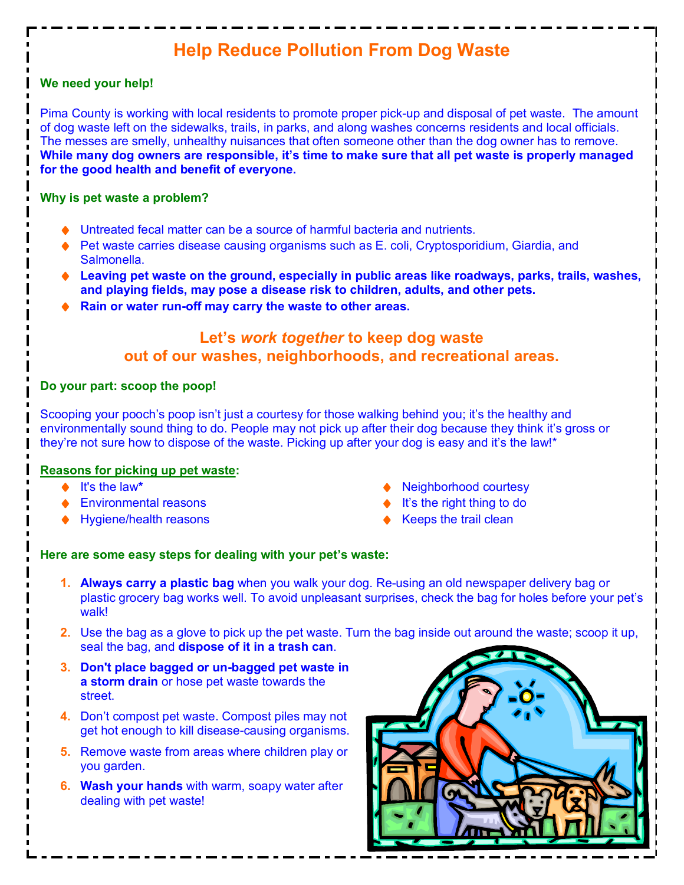# **Help Reduce Pollution From Dog Waste**

#### **We need your help!**

Pima County is working with local residents to promote proper pick-up and disposal of pet waste. The amount of dog waste left on the sidewalks, trails, in parks, and along washes concerns residents and local officials. The messes are smelly, unhealthy nuisances that often someone other than the dog owner has to remove. **While many dog owners are responsible, it's time to make sure that all pet waste is properly managed for the good health and benefit of everyone.** 

#### **Why is pet waste a problem?**

- Untreated fecal matter can be a source of harmful bacteria and nutrients.
- ♦ Pet waste carries disease causing organisms such as E. coli, Cryptosporidium, Giardia, and Salmonella.
- ◆ Leaving pet waste on the ground, especially in public areas like roadways, parks, trails, washes, **and playing fields, may pose a disease risk to children, adults, and other pets.**
- Rain or water run-off may carry the waste to other areas.

# **Let's** *work together* **to keep dog waste out of our washes, neighborhoods, and recreational areas.**

## **Do your part: scoop the poop!**

Scooping your pooch's poop isn't just a courtesy for those walking behind you; it's the healthy and environmentally sound thing to do. People may not pick up after their dog because they think it's gross or they're not sure how to dispose of the waste. Picking up after your dog is easy and it's the law!\*

#### **Reasons for picking up pet waste:**

- ® It's the law**\***
- Environmental reasons
- ◆ Hygiene/health reasons
- Neighborhood courtesy
- It's the right thing to do
- Keeps the trail clean

## **Here are some easy steps for dealing with your pet's waste:**

- **1. Always carry a plastic bag** when you walk your dog. Re-using an old newspaper delivery bag or plastic grocery bag works well. To avoid unpleasant surprises, check the bag for holes before your pet's walk!
- **2.** Use the bag as a glove to pick up the pet waste. Turn the bag inside out around the waste; scoop it up, seal the bag, and **dispose of it in a trash can**.
- **3. Don't place bagged or un-bagged pet waste in a storm drain** or hose pet waste towards the street.
- **4.** Don't compost pet waste. Compost piles may not get hot enough to kill disease-causing organisms.
- **5.** Remove waste from areas where children play or you garden.
- **6. Wash your hands** with warm, soapy water after dealing with pet waste!